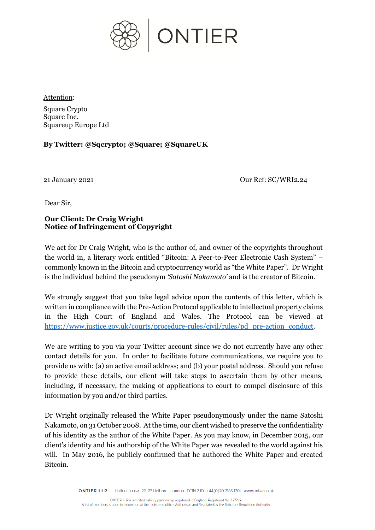

Attention:

Square Crypto Square Inc. Squareup Europe Ltd

**By Twitter: @Sqcrypto; @Square; @SquareUK**

21 January 2021 Our Ref: SC/WRI2.24

Dear Sir,

## **Our Client: Dr Craig Wright Notice of Infringement of Copyright**

We act for Dr Craig Wright, who is the author of, and owner of the copyrights throughout the world in, a literary work entitled "Bitcoin: A Peer-to-Peer Electronic Cash System" – commonly known in the Bitcoin and cryptocurrency world as "the White Paper". Dr Wright is the individual behind the pseudonym *'Satoshi Nakamoto'* and is the creator of Bitcoin.

We strongly suggest that you take legal advice upon the contents of this letter, which is written in compliance with the Pre-Action Protocol applicable to intellectual property claims in the High Court of England and Wales. The Protocol can be viewed at [https://www.justice.gov.uk/courts/procedure-rules/civil/rules/pd\\_pre-action\\_conduct.](https://www.justice.gov.uk/courts/procedure-rules/civil/rules/pd_pre-action_conduct)

We are writing to you via your Twitter account since we do not currently have any other contact details for you. In order to facilitate future communications, we require you to provide us with: (a) an active email address; and (b) your postal address. Should you refuse to provide these details, our client will take steps to ascertain them by other means, including, if necessary, the making of applications to court to compel disclosure of this information by you and/or third parties.

Dr Wright originally released the White Paper pseudonymously under the name Satoshi Nakamoto, on 31 October 2008. At the time, our client wished to preserve the confidentiality of his identity as the author of the White Paper. As you may know, in December 2015, our client's identity and his authorship of the White Paper was revealed to the world against his will. In May 2016, he publicly confirmed that he authored the White Paper and created Bitcoin.